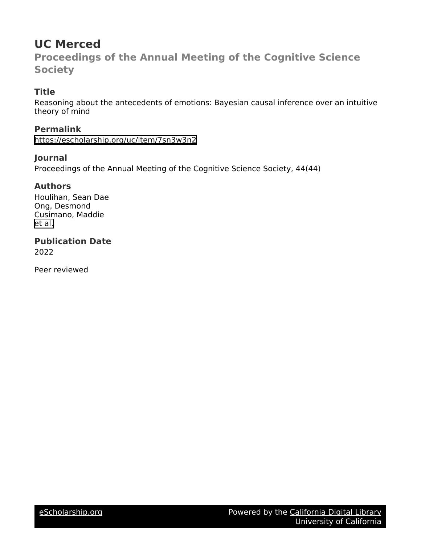# **UC Merced**

**Proceedings of the Annual Meeting of the Cognitive Science Society**

# **Title**

Reasoning about the antecedents of emotions: Bayesian causal inference over an intuitive theory of mind

**Permalink**

<https://escholarship.org/uc/item/7sn3w3n2>

# **Journal**

Proceedings of the Annual Meeting of the Cognitive Science Society, 44(44)

## **Authors**

Houlihan, Sean Dae Ong, Desmond Cusimano, Maddie [et al.](https://escholarship.org/uc/item/7sn3w3n2#author)

**Publication Date** 2022

Peer reviewed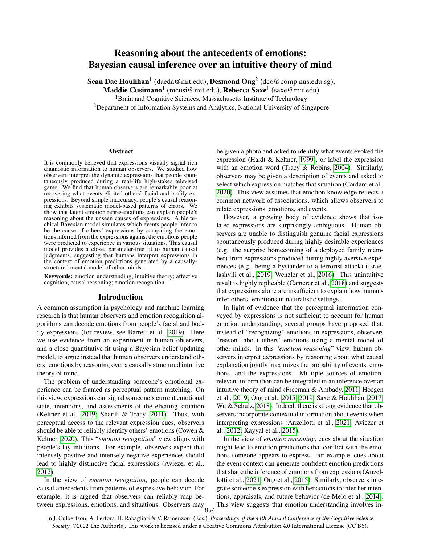### Reasoning about the antecedents of emotions: Bayesian causal inference over an intuitive theory of mind

Sean Dae Houlihan<sup>1</sup> (daeda@mit.edu), Desmond Ong<sup>2</sup> (dco@comp.nus.edu.sg),

Maddie Cusimano<sup>1</sup> (mcusi@mit.edu), Rebecca Saxe<sup>1</sup> (saxe@mit.edu)

<sup>1</sup>Brain and Cognitive Sciences, Massachusetts Institute of Technology

<sup>2</sup>Department of Information Systems and Analytics, National University of Singapore

#### Abstract

It is commonly believed that expressions visually signal rich diagnostic information to human observers. We studied how observers interpret the dynamic expressions that people spontaneously produced during a real-life high-stakes televised game. We find that human observers are remarkably poor at recovering what events elicited others' facial and bodily expressions. Beyond simple inaccuracy, people's causal reasoning exhibits systematic model-based patterns of errors. We show that latent emotion representations can explain people's reasoning about the unseen causes of expressions. A hierarchical Bayesian model simulates which events people infer to be the cause of others' expressions by comparing the emotions inferred from the expressions against the emotions people were predicted to experience in various situations. This causal model provides a close, parameter-free fit to human causal judgments, suggesting that humans interpret expressions in the context of emotion predictions generated by a causallystructured mental model of other minds.

Keywords: emotion understanding; intuitive theory; affective cognition; causal reasoning; emotion recognition

#### Introduction

A common assumption in psychology and machine learning research is that human observers and emotion recognition algorithms can decode emotions from people's facial and bodily expressions (for review, see Barrett et al., [2019\)](#page-7-0). Here we use evidence from an experiment in human observers, and a close quantitative fit using a Bayesian belief updating model, to argue instead that human observers understand others' emotions by reasoning over a causally structured intuitive theory of mind.

The problem of understanding someone's emotional experience can be framed as perceptual pattern matching. On this view, expressions can signal someone's current emotional state, intentions, and assessments of the eliciting situation (Keltner et al., [2019;](#page-7-1) Shariff & Tracy, [2011\)](#page-8-0). Thus, with perceptual access to the relevant expression cues, observers should be able to reliably identify others' emotions (Cowen & Keltner, [2020\)](#page-7-2). This "*emotion recognition*" view aligns with people's lay intuitions. For example, observers expect that intensely positive and intensely negative experiences should lead to highly distinctive facial expressions (Aviezer et al., [2012\)](#page-7-3).

In the view of *emotion recognition*, people can decode causal antecedents from patterns of expressive behavior. For example, it is argued that observers can reliably map between expressions, emotions, and situations. Observers may be given a photo and asked to identify what events evoked the expression (Haidt & Keltner, [1999\)](#page-7-4), or label the expression with an emotion word (Tracy & Robins, [2004\)](#page-8-1). Similarly, observers may be given a description of events and asked to select which expression matches that situation (Cordaro et al., [2020\)](#page-7-5). This view assumes that emotion knowledge reflects a common network of associations, which allows observers to relate expressions, emotions, and events.

However, a growing body of evidence shows that isolated expressions are surprisingly ambiguous. Human observers are unable to distinguish genuine facial expressions spontaneously produced during highly desirable experiences (e.g. the surprise homecoming of a deployed family member) from expressions produced during highly aversive experiences (e.g. being a bystander to a terrorist attack) (Israelashvili et al., [2019;](#page-7-6) Wenzler et al., [2016\)](#page-8-2). This unintuitive result is highly replicable (Camerer et al., [2018\)](#page-7-7) and suggests that expressions alone are insufficient to explain how humans infer others' emotions in naturalistic settings.

In light of evidence that the perceptual information conveyed by expressions is not sufficient to account for human emotion understanding, several groups have proposed that, instead of "recognizing" emotions in expressions, observers "reason" about others' emotions using a mental model of other minds. In this "*emotion reasoning*" view, human observers interpret expressions by reasoning about what causal explanation jointly maximizes the probability of events, emotions, and the expressions. Multiple sources of emotionrelevant information can be integrated in an inference over an intuitive theory of mind (Freeman & Ambady, [2011;](#page-7-8) Hoegen et al., [2019;](#page-7-9) Ong et al., [2015,](#page-7-10) [2019;](#page-7-11) Saxe & Houlihan, [2017;](#page-7-12) Wu & Schulz, [2018\)](#page-8-3). Indeed, there is strong evidence that observers incorporate contextual information about events when interpreting expressions (Anzellotti et al., [2021;](#page-7-13) Aviezer et al., [2012;](#page-7-3) Kayyal et al., [2015\)](#page-7-14).

In the view of *emotion reasoning*, cues about the situation might lead to emotion predictions that conflict with the emotions someone appears to express. For example, cues about the event context can generate confident emotion predictions that shape the inference of emotions from expressions (Anzellotti et al., [2021;](#page-7-13) Ong et al., [2015\)](#page-7-10). Similarly, observers integrate someone's expression with her actions to infer her intentions, appraisals, and future behavior (de Melo et al., [2014\)](#page-7-15). This view suggests that emotion understanding involves in-

854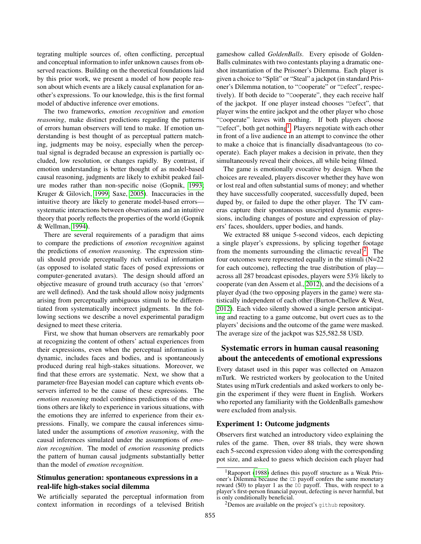tegrating multiple sources of, often conflicting, perceptual and conceptual information to infer unknown causes from observed reactions. Building on the theoretical foundations laid by this prior work, we present a model of how people reason about which events are a likely causal explanation for another's expressions. To our knowledge, this is the first formal model of abductive inference over emotions.

The two frameworks, *emotion recognition* and *emotion reasoning*, make distinct predictions regarding the patterns of errors human observers will tend to make. If emotion understanding is best thought of as perceptual pattern matching, judgments may be noisy, especially when the perceptual signal is degraded because an expression is partially occluded, low resolution, or changes rapidly. By contrast, if emotion understanding is better thought of as model-based causal reasoning, judgments are likely to exhibit peaked failure modes rather than non-specific noise (Gopnik, [1993;](#page-7-16) Kruger & Gilovich, [1999;](#page-7-17) Saxe, [2005\)](#page-7-18). Inaccuracies in the intuitive theory are likely to generate model-based errors systematic interactions between observations and an intuitive theory that poorly reflects the properties of the world (Gopnik & Wellman, [1994\)](#page-7-19).

There are several requirements of a paradigm that aims to compare the predictions of *emotion recognition* against the predictions of *emotion reasoning*. The expression stimuli should provide perceptually rich veridical information (as opposed to isolated static faces of posed expressions or computer-generated avatars). The design should afford an objective measure of ground truth accuracy (so that 'errors' are well defined). And the task should allow noisy judgments arising from perceptually ambiguous stimuli to be differentiated from systematically incorrect judgments. In the following sections we describe a novel experimental paradigm designed to meet these criteria.

First, we show that human observers are remarkably poor at recognizing the content of others' actual experiences from their expressions, even when the perceptual information is dynamic, includes faces and bodies, and is spontaneously produced during real high-stakes situations. Moreover, we find that these errors are systematic. Next, we show that a parameter-free Bayesian model can capture which events observers inferred to be the cause of these expressions. The *emotion reasoning* model combines predictions of the emotions others are likely to experience in various situations, with the emotions they are inferred to experience from their expressions. Finally, we compare the causal inferences simulated under the assumptions of *emotion reasoning*, with the causal inferences simulated under the assumptions of *emotion recognition*. The model of *emotion reasoning* predicts the pattern of human causal judgments substantially better than the model of *emotion recognition*.

#### Stimulus generation: spontaneous expressions in a real-life high-stakes social dilemma

We artificially separated the perceptual information from context information in recordings of a televised British gameshow called *GoldenBalls*. Every episode of Golden-Balls culminates with two contestants playing a dramatic oneshot instantiation of the Prisoner's Dilemma. Each player is given a choice to "Split" or "Steal" a jackpot (in standard Prisoner's Dilemma notation, to "Cooperate" or "Defect", respectively). If both decide to "Cooperate", they each receive half of the jackpot. If one player instead chooses "Defect", that player wins the entire jackpot and the other player who chose "Cooperate" leaves with nothing. If both players choose "Defect", both get nothing<sup>[1](#page-2-0)</sup>. Players negotiate with each other in front of a live audience in an attempt to convince the other to make a choice that is financially disadvantageous (to cooperate). Each player makes a decision in private, then they simultaneously reveal their choices, all while being filmed.

The game is emotionally evocative by design. When the choices are revealed, players discover whether they have won or lost real and often substantial sums of money; and whether they have successfully cooperated, successfully duped, been duped by, or failed to dupe the other player. The TV cameras capture their spontaneous unscripted dynamic expressions, including changes of posture and expression of players' faces, shoulders, upper bodies, and hands.

We extracted 88 unique 5-second videos, each depicting a single player's expressions, by splicing together footage from the moments surrounding the climactic reveal)<sup>[2](#page-2-1)</sup>. The four outcomes were represented equally in the stimuli (N=22 for each outcome), reflecting the true distribution of play across all 287 broadcast episodes, players were 53% likely to cooperate (van den Assem et al., [2012\)](#page-8-4), and the decisions of a player dyad (the two opposing players in the game) were statistically independent of each other (Burton-Chellew & West, [2012\)](#page-7-20). Each video silently showed a single person anticipating and reacting to a game outcome, but overt cues as to the players' decisions and the outcome of the game were masked. The average size of the jackpot was \$25,582.58 USD.

### Systematic errors in human causal reasoning about the antecedents of emotional expressions

Every dataset used in this paper was collected on Amazon mTurk. We restricted workers by geolocation to the United States using mTurk credentials and asked workers to only begin the experiment if they were fluent in English. Workers who reported any familiarity with the GoldenBalls gameshow were excluded from analysis.

#### Experiment 1: Outcome judgments

Observers first watched an introductory video explaining the rules of the game. Then, over 88 trials, they were shown each 5-second expression video along with the corresponding pot size, and asked to guess which decision each player had

<span id="page-2-0"></span><sup>1</sup>Rapoport [\(1988\)](#page-7-21) defines this payoff structure as a Weak Prisoner's Dilemma because the CD payoff confers the same monetary reward (\$0) to player 1 as the DD payoff. Thus, with respect to a player's first-person financial payout, defecting is never harmful, but is only conditionally beneficial.

<span id="page-2-1"></span> $2$ Demos are available on the project's github repository.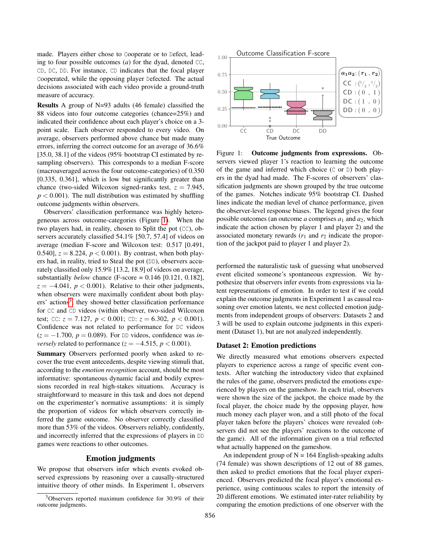made. Players either chose to Cooperate or to Defect, leading to four possible outcomes (*a*) for the dyad, denoted CC, CD, DC, DD. For instance, CD indicates that the focal player Cooperated, while the opposing player Defected. The actual decisions associated with each video provide a ground-truth measure of accuracy.

Results A group of N=93 adults (46 female) classified the 88 videos into four outcome categories (chance=25%) and indicated their confidence about each player's choice on a 3 point scale. Each observer responded to every video. On average, observers performed above chance but made many errors, inferring the correct outcome for an average of 36.6% [35.0, 38.1] of the videos (95% bootstrap CI estimated by resampling observers). This corresponds to a median F-score (macroaveraged across the four outcome-categories) of 0.350 [0.335, 0.361], which is low but significantly greater than chance (two-sided Wilcoxon signed-ranks test,  $z = 7.945$ ,  $p < 0.001$ ). The null distribution was estimated by shuffling outcome judgments within observers.

Observers' classification performance was highly heterogeneous across outcome-categories (Figure [1\)](#page-3-0). When the two players had, in reality, chosen to Split the pot (CC), observers accurately classified 54.1% [50.7, 57.4] of videos on average (median F-score and Wilcoxon test: 0.517 [0.491, 0.540],  $z = 8.224$ ,  $p < 0.001$ ). By contrast, when both players had, in reality, tried to Steal the pot (DD), observers accurately classified only 15.9% [13.2, 18.9] of videos on average, substantially *below* chance (F-score = 0.146 [0.121, 0.182],  $z = -4.041$ ,  $p < 0.001$ ). Relative to their other judgments, when observers were maximally confident about both play-ers' actions<sup>[3](#page-3-1)</sup>, they showed better classification performance for CC and CD videos (within observer, two-sided Wilcoxon test; CC:  $z = 7.127$ ,  $p < 0.001$ ; CD:  $z = 6.302$ ,  $p < 0.001$ ). Confidence was not related to performance for DC videos  $(z = -1.700, p = 0.089)$ . For DD videos, confidence was *inversely* related to performance ( $z = -4.515$ ,  $p < 0.001$ ).

Summary Observers performed poorly when asked to recover the true event antecedents, despite viewing stimuli that, according to the *emotion recognition* account, should be most informative: spontaneous dynamic facial and bodily expressions recorded in real high-stakes situations. Accuracy is straightforward to measure in this task and does not depend on the experimenter's normative assumptions: it is simply the proportion of videos for which observers correctly inferred the game outcome. No observer correctly classified more than 53% of the videos. Observers reliably, confidently, and incorrectly inferred that the expressions of players in DD games were reactions to other outcomes.

#### Emotion judgments

We propose that observers infer which events evoked observed expressions by reasoning over a causally-structured intuitive theory of other minds. In Experiment 1, observers



<span id="page-3-0"></span>Figure 1: Outcome judgments from expressions. Observers viewed player 1's reaction to learning the outcome of the game and inferred which choice  $(C \text{ or } D)$  both players in the dyad had made. The F-scores of observers' classification judgments are shown grouped by the true outcome of the games. Notches indicate 95% bootstrap CI. Dashed lines indicate the median level of chance performance, given the observer-level response biases. The legend gives the four possible outcomes (an outcome *a* comprises  $a_1$  and  $a_2$ , which indicate the action chosen by player 1 and player 2) and the associated monetary rewards  $(r_1$  and  $r_2$  indicate the proportion of the jackpot paid to player 1 and player 2).

performed the naturalistic task of guessing what unobserved event elicited someone's spontaneous expression. We hypothesize that observers infer events from expressions via latent representations of emotion. In order to test if we could explain the outcome judgments in Experiment 1 as causal reasoning over emotion latents, we next collected emotion judgments from independent groups of observers: Datasets 2 and 3 will be used to explain outcome judgments in this experiment (Dataset 1), but are not analyzed independently.

#### Dataset 2: Emotion predictions

We directly measured what emotions observers expected players to experience across a range of specific event contexts. After watching the introductory video that explained the rules of the game, observers predicted the emotions experienced by players on the gameshow. In each trial, observers were shown the size of the jackpot, the choice made by the focal player, the choice made by the opposing player, how much money each player won, and a still photo of the focal player taken before the players' choices were revealed (observers did not see the players' reactions to the outcome of the game). All of the information given on a trial reflected what actually happened on the gameshow.

An independent group of  $N = 164$  English-speaking adults (74 female) was shown descriptions of 12 out of 88 games, then asked to predict emotions that the focal player experienced. Observers predicted the focal player's emotional experience, using continuous scales to report the intensity of 20 different emotions. We estimated inter-rater reliability by comparing the emotion predictions of one observer with the

<span id="page-3-1"></span><sup>3</sup>Observers reported maximum confidence for 30.9% of their outcome judgments.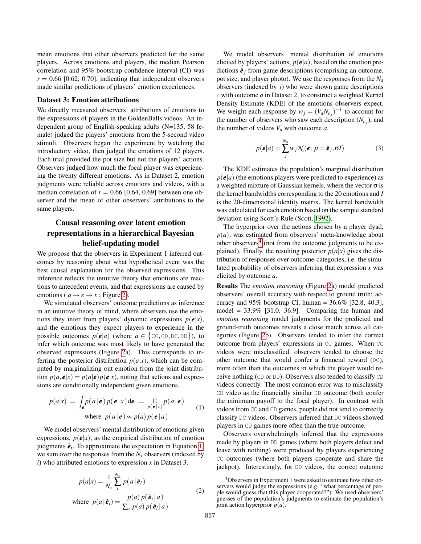mean emotions that other observers predicted for the same players. Across emotions and players, the median Pearson correlation and 95% bootstrap confidence interval (CI) was  $r = 0.66$  [0.62, 0.70], indicating that independent observers made similar predictions of players' emotion experiences.

#### Dataset 3: Emotion attributions

We directly measured observers' attributions of emotions to the expressions of players in the GoldenBalls videos. An independent group of English-speaking adults (N=135, 58 female) judged the players' emotions from the 5-second video stimuli. Observers began the experiment by watching the introductory video, then judged the emotions of 12 players. Each trial provided the pot size but not the players' actions. Observers judged how much the focal player was experiencing the twenty different emotions. As in Dataset 2, emotion judgments were reliable across emotions and videos, with a median correlation of  $r = 0.66$  [0.64, 0.69] between one observer and the mean of other observers' attributions to the same players.

### Causal reasoning over latent emotion representations in a hierarchical Bayesian belief-updating model

We propose that the observers in Experiment 1 inferred outcomes by reasoning about what hypothetical event was the best causal explanation for the observed expressions. This inference reflects the intuitive theory that emotions are reactions to antecedent events, and that expressions are caused by emotions ( $a \rightarrow e \rightarrow x$ ; Figure [2\)](#page-5-0).

We simulated observers' outcome predictions as inference in an intuitive theory of mind, where observers use the emotions they infer from players' dynamic expressions  $p(\mathbf{e}|x)$ , and the emotions they expect players to experience in the possible outcomes  $p(e|a)$  (where  $a \in \{\text{CC}, \text{CD}, \text{DC}, \text{DD}\}\)$ , to infer which outcome was most likely to have generated the observed expressions (Figure [2a](#page-5-0)). This corresponds to inferring the posterior distribution  $p(a|x)$ , which can be computed by marginalizing out emotion from the joint distribution  $p(a, e|x) = p(a|e)p(e|x)$ , noting that actions and expressions are conditionally independent given emotions.

<span id="page-4-0"></span>
$$
p(a|x) = \int_{\mathbf{e}} p(a|\mathbf{e}) p(\mathbf{e}|x) d\mathbf{e} = \underset{p(\mathbf{e}|x)}{\text{E}} p(a|\mathbf{e})
$$
  
where  $p(a|\mathbf{e}) \propto p(a) p(\mathbf{e}|a)$  (1)

We model observers' mental distribution of emotions given expressions,  $p(e|x)$ , as the empirical distribution of emotion judgments  $\hat{\boldsymbol{e}}_i$ . To approximate the expectation in Equation [1,](#page-4-0) we sum over the responses from the *N<sup>x</sup>* observers (indexed by *i*) who attributed emotions to expression *x* in Dataset 3.

$$
p(a|x) = \frac{1}{N_x} \sum_{i}^{N_x} p(a|\hat{\boldsymbol{e}}_i)
$$
  
where  $p(a|\hat{\boldsymbol{e}}_i) = \frac{p(a) p(\hat{\boldsymbol{e}}_i|a)}{\sum_a p(a) p(\hat{\boldsymbol{e}}_i|a)}$  (2)

We model observers' mental distribution of emotions elicited by players' actions,  $p(e|a)$ , based on the emotion predictions  $\hat{\boldsymbol{e}}_i$  from game descriptions (comprising an outcome, pot size, and player photo). We use the responses from the *N<sup>a</sup>* observers (indexed by *j*) who were shown game descriptions *c* with outcome *a* in Dataset 2, to construct a weighted Kernel Density Estimate (KDE) of the emotions observers expect. We weight each response by  $w_j = (V_a N_{c_j})^{-1}$  to account for the number of observers who saw each description  $(N_{c_j})$ , and the number of videos *V<sup>a</sup>* with outcome *a*.

$$
p(\boldsymbol{e}|a) = \sum_{j}^{N_a} w_j \mathcal{N}(\boldsymbol{e}; \, \mu = \hat{\boldsymbol{e}}_j, \sigma I)
$$
 (3)

The KDE estimates the population's marginal distribution  $p(e|a)$  (the emotions players were predicted to experience) as a weighted mixture of Gaussian kernels, where the vector  $\sigma$  is the kernel bandwidths corresponding to the 20 emotions and *I* is the 20-dimensional identity matrix. The kernel bandwidth was calculated for each emotion based on the sample standard deviation using Scott's Rule (Scott, [1992\)](#page-8-5).

The hyperprior over the actions chosen by a player dyad, *p*(*a*), was estimated from observers' meta-knowledge about other observers<sup>[4](#page-4-1)</sup> (not from the outcome judgments to be explained). Finally, the resulting posterior  $p(a|x)$  gives the distribution of responses over outcome-categories, i.e. the simulated probability of observers inferring that expression *x* was elicited by outcome *a*.

Results The *emotion reasoning* (Figure [2a](#page-5-0)) model predicted observers' overall accuracy with respect to ground truth: accuracy and  $95\%$  bootstrap CI, human =  $36.6\%$  [32.8, 40.3], model =  $33.9\%$  [31.0, 36.9]. Comparing the human and *emotion reasoning* model judgments for the predicted and ground-truth outcomes reveals a close match across all categories (Figure [2b](#page-5-0)). Observers tended to infer the correct outcome from players' expressions in CC games. When CC videos were misclassified, observers tended to choose the other outcome that would confer a financial reward (DC), more often than the outcomes in which the player would receive nothing (CD or DD). Observers also tended to classify CD videos correctly. The most common error was to misclassify CD video as the financially similar DD outcome (both confer the minimum payoff to the focal player). In contrast with videos from CC and CD games, people did not tend to correctly classify DC videos. Observers inferred that DC videos showed players in CD games more often than the true outcome.

Observers overwhelmingly inferred that the expressions made by players in DD games (where both players defect and leave with nothing) were produced by players experiencing CC outcomes (where both players cooperate and share the jackpot). Interestingly, for DD videos, the correct outcome

<span id="page-4-1"></span><sup>4</sup>Observers in Experiment 1 were asked to estimate how other observers would judge the expressions (e.g. "what percentage of people would guess that this player cooperated?"). We used observers' guesses of the population's judgments to estimate the population's joint action hyperprior *p*(*a*).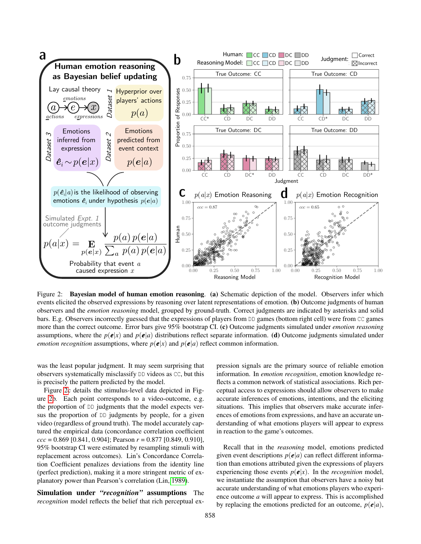

<span id="page-5-0"></span>Figure 2: Bayesian model of human emotion reasoning. (a) Schematic depiction of the model. Observers infer which events elicited the observed expressions by reasoning over latent representations of emotion. (b) Outcome judgments of human observers and the *emotion reasoning* model, grouped by ground-truth. Correct judgments are indicated by asterisks and solid bars. E.g. Observers incorrectly guessed that the expressions of players from DD games (bottom right cell) were from CC games more than the correct outcome. Error bars give 95% bootstrap CI. (c) Outcome judgments simulated under *emotion reasoning* assumptions, where the  $p(e|x)$  and  $p(e|a)$  distributions reflect separate information. (d) Outcome judgments simulated under *emotion recognition* assumptions, where  $p(e|x)$  and  $p(e|a)$  reflect common information.

was the least popular judgment. It may seem surprising that observers systematically misclassify DD videos as CC, but this is precisely the pattern predicted by the model.

Figure [2c](#page-5-0) details the stimulus-level data depicted in Figure [2b](#page-5-0). Each point corresponds to a video-outcome, e.g. the proportion of DD judgments that the model expects versus the proportion of DD judgments by people, for a given video (regardless of ground truth). The model accurately captured the empirical data (concordance correlation coefficient *ccc* = 0.869 [0.841, 0.904]; Pearson *r* = 0.877 [0.849, 0.910], 95% bootstrap CI were estimated by resampling stimuli with replacement across outcomes). Lin's Concordance Correlation Coefficient penalizes deviations from the identity line (perfect prediction), making it a more stringent metric of explanatory power than Pearson's correlation (Lin, [1989\)](#page-7-22).

Simulation under *"recognition"* assumptions The *recognition* model reflects the belief that rich perceptual expression signals are the primary source of reliable emotion information. In *emotion recognition*, emotion knowledge reflects a common network of statistical associations. Rich perceptual access to expressions should allow observers to make accurate inferences of emotions, intentions, and the eliciting situations. This implies that observers make accurate inferences of emotions from expressions, and have an accurate understanding of what emotions players will appear to express in reaction to the game's outcomes.

Recall that in the *reasoning* model, emotions predicted given event descriptions  $p(e|a)$  can reflect different information than emotions attributed given the expressions of players experiencing those events  $p(e|x)$ . In the *recognition* model, we instantiate the assumption that observers have a noisy but accurate understanding of what emotions players who experience outcome *a* will appear to express. This is accomplished by replacing the emotions predicted for an outcome,  $p(\mathbf{e}|a)$ ,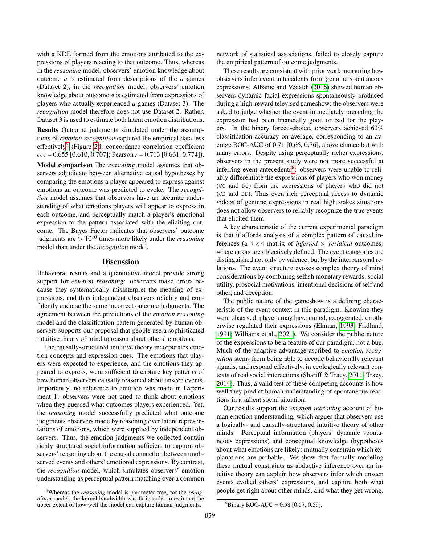with a KDE formed from the emotions attributed to the expressions of players reacting to that outcome. Thus, whereas in the *reasoning* model, observers' emotion knowledge about outcome *a* is estimated from descriptions of the *a* games (Dataset 2), in the *recognition* model, observers' emotion knowledge about outcome *a* is estimated from expressions of players who actually experienced *a* games (Dataset 3). The *recognition* model therefore does not use Dataset 2. Rather, Dataset 3 is used to estimate both latent emotion distributions.

Results Outcome judgments simulated under the assumptions of *emotion recognition* captured the empirical data less effectively<sup>[5](#page-6-0)</sup> (Figure [2d](#page-5-0); concordance correlation coefficient *ccc* = 0.655 [0.610, 0.707]; Pearson *r* = 0.713 [0.661, 0.774]).

Model comparison The *reasoning* model assumes that observers adjudicate between alternative causal hypotheses by comparing the emotions a player appeared to express against emotions an outcome was predicted to evoke. The *recognition* model assumes that observers have an accurate understanding of what emotions players will appear to express in each outcome, and perceptually match a player's emotional expression to the pattern associated with the eliciting outcome. The Bayes Factor indicates that observers' outcome judgments are > 10<sup>10</sup> times more likely under the *reasoning* model than under the *recognition* model.

#### **Discussion**

Behavioral results and a quantitative model provide strong support for *emotion reasoning*: observers make errors because they systematically misinterpret the meaning of expressions, and thus independent observers reliably and confidently endorse the same incorrect outcome judgments. The agreement between the predictions of the *emotion reasoning* model and the classification pattern generated by human observers supports our proposal that people use a sophisticated intuitive theory of mind to reason about others' emotions.

The causally-structured intuitive theory incorporates emotion concepts and expression cues. The emotions that players were expected to experience, and the emotions they appeared to express, were sufficient to capture key patterns of how human observers causally reasoned about unseen events. Importantly, no reference to emotion was made in Experiment 1; observers were not cued to think about emotions when they guessed what outcomes players experienced. Yet, the *reasoning* model successfully predicted what outcome judgments observers made by reasoning over latent representations of emotions, which were supplied by independent observers. Thus, the emotion judgments we collected contain richly structured social information sufficient to capture observers' reasoning about the causal connection between unobserved events and others' emotional expressions. By contrast, the *recognition* model, which simulates observers' emotion understanding as perceptual pattern matching over a common

<span id="page-6-0"></span><sup>5</sup>Whereas the *reasoning* model is parameter-free, for the *recognition* model, the kernel bandwidth was fit in order to estimate the upper extent of how well the model can capture human judgments.

network of statistical associations, failed to closely capture the empirical pattern of outcome judgments.

These results are consistent with prior work measuring how observers infer event antecedents from genuine spontaneous expressions. Albanie and Vedaldi [\(2016\)](#page-7-23) showed human observers dynamic facial expressions spontaneously produced during a high-reward televised gameshow; the observers were asked to judge whether the event immediately preceding the expression had been financially good or bad for the players. In the binary forced-choice, observers achieved 62% classification accuracy on average, corresponding to an average ROC-AUC of 0.71 [0.66, 0.76], above chance but with many errors. Despite using perceptually richer expressions, observers in the present study were not more successful at inferring event antecedents<sup>[6](#page-6-1)</sup>: observers were unable to reliably differentiate the expressions of players who won money (CC and DC) from the expressions of players who did not (CD and DD). Thus even rich perceptual access to dynamic videos of genuine expressions in real high stakes situations does not allow observers to reliably recognize the true events that elicited them.

A key characteristic of the current experimental paradigm is that it affords analysis of a complex pattern of causal inferences (a  $4 \times 4$  matrix of *inferred*  $\times$  *veridical* outcomes) where errors are objectively defined. The event categories are distinguished not only by valence, but by the interpersonal relations. The event structure evokes complex theory of mind considerations by combining selfish monetary rewards, social utility, prosocial motivations, intentional decisions of self and other, and deception.

The public nature of the gameshow is a defining characteristic of the event context in this paradigm. Knowing they were observed, players may have muted, exaggerated, or otherwise regulated their expressions (Ekman, [1993;](#page-7-24) Fridlund, [1991;](#page-7-25) Williams et al., [2021\)](#page-8-6). We consider the public nature of the expressions to be a feature of our paradigm, not a bug. Much of the adaptive advantage ascribed to *emotion recognition* stems from being able to decode behaviorally relevant signals, and respond effectively, in ecologically relevant contexts of real social interactions (Shariff & Tracy, [2011;](#page-8-0) Tracy, [2014\)](#page-8-7). Thus, a valid test of these competing accounts is how well they predict human understanding of spontaneous reactions in a salient social situation.

Our results support the *emotion reasoning* account of human emotion understanding, which argues that observers use a logically- and causally-structured intuitive theory of other minds. Perceptual information (players' dynamic spontaneous expressions) and conceptual knowledge (hypotheses about what emotions are likely) mutually constrain which explanations are probable. We show that formally modeling these mutual constraints as abductive inference over an intuitive theory can explain how observers infer which unseen events evoked others' expressions, and capture both what people get right about other minds, and what they get wrong.

<span id="page-6-1"></span><sup>&</sup>lt;sup>6</sup>Binary ROC-AUC = 0.58 [0.57, 0.59].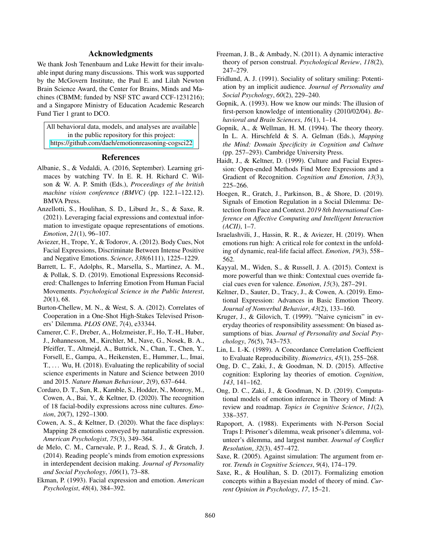#### Acknowledgments

We thank Josh Tenenbaum and Luke Hewitt for their invaluable input during many discussions. This work was supported by the McGovern Institute, the Paul E. and Lilah Newton Brain Science Award, the Center for Brains, Minds and Machines (CBMM; funded by NSF STC award CCF-1231216); and a Singapore Ministry of Education Academic Research Fund Tier 1 grant to DCO.

All behavioral data, models, and analyses are available in the public repository for this project: <https://github.com/daeh/emotionreasoning-cogsci22>

#### References

- <span id="page-7-23"></span>Albanie, S., & Vedaldi, A. (2016, September). Learning grimaces by watching TV. In E. R. H. Richard C. Wilson & W. A. P. Smith (Eds.), *Proceedings of the british machine vision conference (BMVC)* (pp. 122.1–122.12). BMVA Press.
- <span id="page-7-13"></span>Anzellotti, S., Houlihan, S. D., Liburd Jr., S., & Saxe, R. (2021). Leveraging facial expressions and contextual information to investigate opaque representations of emotions. *Emotion*, *21*(1), 96–107.
- <span id="page-7-3"></span>Aviezer, H., Trope, Y., & Todorov, A. (2012). Body Cues, Not Facial Expressions, Discriminate Between Intense Positive and Negative Emotions. *Science*, *338*(6111), 1225–1229.
- <span id="page-7-0"></span>Barrett, L. F., Adolphs, R., Marsella, S., Martinez, A. M., & Pollak, S. D. (2019). Emotional Expressions Reconsidered: Challenges to Inferring Emotion From Human Facial Movements. *Psychological Science in the Public Interest*, *20*(1), 68.
- <span id="page-7-20"></span>Burton-Chellew, M. N., & West, S. A. (2012). Correlates of Cooperation in a One-Shot High-Stakes Televised Prisoners' Dilemma. *PLOS ONE*, *7*(4), e33344.
- <span id="page-7-7"></span>Camerer, C. F., Dreber, A., Holzmeister, F., Ho, T.-H., Huber, J., Johannesson, M., Kirchler, M., Nave, G., Nosek, B. A., Pfeiffer, T., Altmejd, A., Buttrick, N., Chan, T., Chen, Y., Forsell, E., Gampa, A., Heikensten, E., Hummer, L., Imai, T., ... Wu, H. (2018). Evaluating the replicability of social science experiments in Nature and Science between 2010 and 2015. *Nature Human Behaviour*, *2*(9), 637–644.
- <span id="page-7-5"></span>Cordaro, D. T., Sun, R., Kamble, S., Hodder, N., Monroy, M., Cowen, A., Bai, Y., & Keltner, D. (2020). The recognition of 18 facial-bodily expressions across nine cultures. *Emotion*, *20*(7), 1292–1300.
- <span id="page-7-2"></span>Cowen, A. S., & Keltner, D. (2020). What the face displays: Mapping 28 emotions conveyed by naturalistic expression. *American Psychologist*, *75*(3), 349–364.
- <span id="page-7-15"></span>de Melo, C. M., Carnevale, P. J., Read, S. J., & Gratch, J. (2014). Reading people's minds from emotion expressions in interdependent decision making. *Journal of Personality and Social Psychology*, *106*(1), 73–88.
- <span id="page-7-24"></span>Ekman, P. (1993). Facial expression and emotion. *American Psychologist*, *48*(4), 384–392.
- <span id="page-7-8"></span>Freeman, J. B., & Ambady, N. (2011). A dynamic interactive theory of person construal. *Psychological Review*, *118*(2), 247–279.
- <span id="page-7-25"></span>Fridlund, A. J. (1991). Sociality of solitary smiling: Potentiation by an implicit audience. *Journal of Personality and Social Psychology*, *60*(2), 229–240.
- <span id="page-7-16"></span>Gopnik, A. (1993). How we know our minds: The illusion of first-person knowledge of intentionality (2010/02/04). *Behavioral and Brain Sciences*, *16*(1), 1–14.
- <span id="page-7-19"></span>Gopnik, A., & Wellman, H. M. (1994). The theory theory. In L. A. Hirschfeld & S. A. Gelman (Eds.), *Mapping the Mind: Domain Specificity in Cognition and Culture* (pp. 257–293). Cambridge University Press.
- <span id="page-7-4"></span>Haidt, J., & Keltner, D. (1999). Culture and Facial Expression: Open-ended Methods Find More Expressions and a Gradient of Recognition. *Cognition and Emotion*, *13*(3), 225–266.
- <span id="page-7-9"></span>Hoegen, R., Gratch, J., Parkinson, B., & Shore, D. (2019). Signals of Emotion Regulation in a Social Dilemma: Detection from Face and Context. *2019 8th International Conference on Affective Computing and Intelligent Interaction (ACII)*, 1–7.
- <span id="page-7-6"></span>Israelashvili, J., Hassin, R. R., & Aviezer, H. (2019). When emotions run high: A critical role for context in the unfolding of dynamic, real-life facial affect. *Emotion*, *19*(3), 558– 562.
- <span id="page-7-14"></span>Kayyal, M., Widen, S., & Russell, J. A. (2015). Context is more powerful than we think: Contextual cues override facial cues even for valence. *Emotion*, *15*(3), 287–291.
- <span id="page-7-1"></span>Keltner, D., Sauter, D., Tracy, J., & Cowen, A. (2019). Emotional Expression: Advances in Basic Emotion Theory. *Journal of Nonverbal Behavior*, *43*(2), 133–160.
- <span id="page-7-17"></span>Kruger, J., & Gilovich, T. (1999). "Naive cynicism" in everyday theories of responsibility assessment: On biased assumptions of bias. *Journal of Personality and Social Psychology*, *76*(5), 743–753.
- <span id="page-7-22"></span>Lin, L. I.-K. (1989). A Concordance Correlation Coefficient to Evaluate Reproducibility. *Biometrics*, *45*(1), 255–268.
- <span id="page-7-10"></span>Ong, D. C., Zaki, J., & Goodman, N. D. (2015). Affective cognition: Exploring lay theories of emotion. *Cognition*, *143*, 141–162.
- <span id="page-7-11"></span>Ong, D. C., Zaki, J., & Goodman, N. D. (2019). Computational models of emotion inference in Theory of Mind: A review and roadmap. *Topics in Cognitive Science*, *11*(2), 338–357.
- <span id="page-7-21"></span>Rapoport, A. (1988). Experiments with N-Person Social Traps I: Prisoner's dilemma, weak prisoner's dilemma, volunteer's dilemma, and largest number. *Journal of Conflict Resolution*, *32*(3), 457–472.
- <span id="page-7-18"></span>Saxe, R. (2005). Against simulation: The argument from error. *Trends in Cognitive Sciences*, *9*(4), 174–179.
- <span id="page-7-12"></span>Saxe, R., & Houlihan, S. D. (2017). Formalizing emotion concepts within a Bayesian model of theory of mind. *Current Opinion in Psychology*, *17*, 15–21.